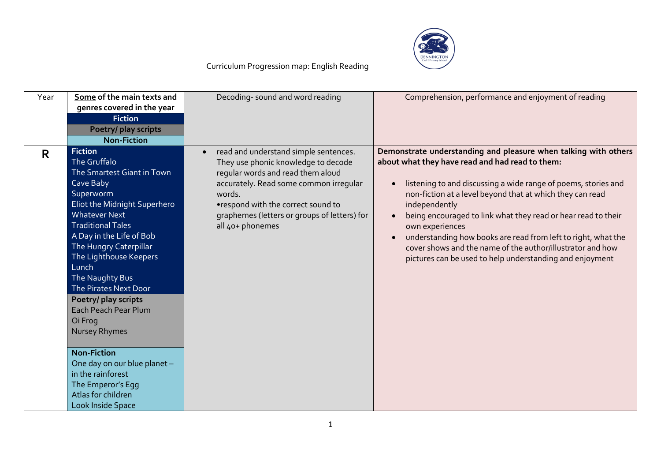

| Year | Some of the main texts and   | Decoding-sound and word reading                    | Comprehension, performance and enjoyment of reading             |
|------|------------------------------|----------------------------------------------------|-----------------------------------------------------------------|
|      | genres covered in the year   |                                                    |                                                                 |
|      | <b>Fiction</b>               |                                                    |                                                                 |
|      | Poetry/ play scripts         |                                                    |                                                                 |
|      | <b>Non-Fiction</b>           |                                                    |                                                                 |
| R.   | <b>Fiction</b>               | read and understand simple sentences.<br>$\bullet$ | Demonstrate understanding and pleasure when talking with others |
|      | The Gruffalo                 | They use phonic knowledge to decode                | about what they have read and had read to them:                 |
|      | The Smartest Giant in Town   | regular words and read them aloud                  |                                                                 |
|      | Cave Baby                    | accurately. Read some common irregular             | listening to and discussing a wide range of poems, stories and  |
|      | Superworm                    | words.                                             | non-fiction at a level beyond that at which they can read       |
|      | Eliot the Midnight Superhero | •respond with the correct sound to                 | independently                                                   |
|      | <b>Whatever Next</b>         | graphemes (letters or groups of letters) for       | being encouraged to link what they read or hear read to their   |
|      | <b>Traditional Tales</b>     | all 40+ phonemes                                   | own experiences                                                 |
|      | A Day in the Life of Bob     |                                                    | understanding how books are read from left to right, what the   |
|      | The Hungry Caterpillar       |                                                    | cover shows and the name of the author/illustrator and how      |
|      | The Lighthouse Keepers       |                                                    |                                                                 |
|      | Lunch                        |                                                    | pictures can be used to help understanding and enjoyment        |
|      |                              |                                                    |                                                                 |
|      | The Naughty Bus              |                                                    |                                                                 |
|      | The Pirates Next Door        |                                                    |                                                                 |
|      | Poetry/ play scripts         |                                                    |                                                                 |
|      | Each Peach Pear Plum         |                                                    |                                                                 |
|      | Oi Frog                      |                                                    |                                                                 |
|      | Nursey Rhymes                |                                                    |                                                                 |
|      |                              |                                                    |                                                                 |
|      | <b>Non-Fiction</b>           |                                                    |                                                                 |
|      | One day on our blue planet - |                                                    |                                                                 |
|      | in the rainforest            |                                                    |                                                                 |
|      | The Emperor's Egg            |                                                    |                                                                 |
|      | Atlas for children           |                                                    |                                                                 |
|      | Look Inside Space            |                                                    |                                                                 |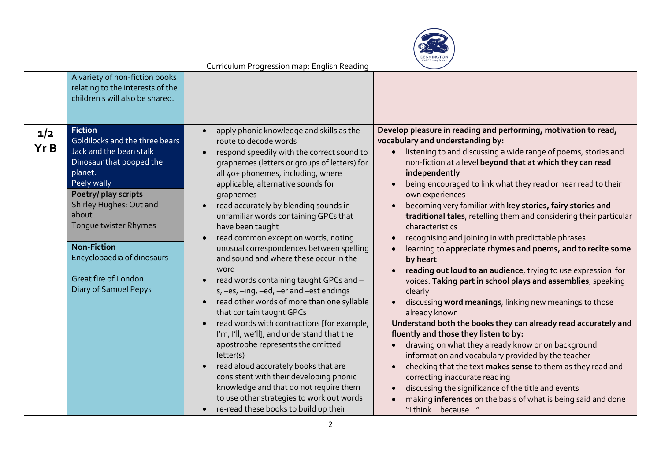

|             | A variety of non-fiction books<br>relating to the interests of the<br>children s will also be shared.                                                                                                                                                                                                                               |                                                                                                                                                                                                                                                                                                                                                                                                                                                                                                                                                                                                                                                                                                                                                                                                                                                                                                                                                                                                                                      |                                                                                                                                                                                                                                                                                                                                                                                                                                                                                                                                                                                                                                                                                                                                                                                                                                                                                                                                                                                                                                                                                                                                                                                                                                                                                                                              |
|-------------|-------------------------------------------------------------------------------------------------------------------------------------------------------------------------------------------------------------------------------------------------------------------------------------------------------------------------------------|--------------------------------------------------------------------------------------------------------------------------------------------------------------------------------------------------------------------------------------------------------------------------------------------------------------------------------------------------------------------------------------------------------------------------------------------------------------------------------------------------------------------------------------------------------------------------------------------------------------------------------------------------------------------------------------------------------------------------------------------------------------------------------------------------------------------------------------------------------------------------------------------------------------------------------------------------------------------------------------------------------------------------------------|------------------------------------------------------------------------------------------------------------------------------------------------------------------------------------------------------------------------------------------------------------------------------------------------------------------------------------------------------------------------------------------------------------------------------------------------------------------------------------------------------------------------------------------------------------------------------------------------------------------------------------------------------------------------------------------------------------------------------------------------------------------------------------------------------------------------------------------------------------------------------------------------------------------------------------------------------------------------------------------------------------------------------------------------------------------------------------------------------------------------------------------------------------------------------------------------------------------------------------------------------------------------------------------------------------------------------|
| 1/2<br>Yr B | <b>Fiction</b><br>Goldilocks and the three bears<br>Jack and the bean stalk<br>Dinosaur that pooped the<br>planet.<br>Peely wally<br>Poetry/ play scripts<br>Shirley Hughes: Out and<br>about.<br>Tongue twister Rhymes<br><b>Non-Fiction</b><br>Encyclopaedia of dinosaurs<br><b>Great fire of London</b><br>Diary of Samuel Pepys | apply phonic knowledge and skills as the<br>route to decode words<br>respond speedily with the correct sound to<br>graphemes (letters or groups of letters) for<br>all 40+ phonemes, including, where<br>applicable, alternative sounds for<br>graphemes<br>read accurately by blending sounds in<br>unfamiliar words containing GPCs that<br>have been taught<br>read common exception words, noting<br>unusual correspondences between spelling<br>and sound and where these occur in the<br>word<br>read words containing taught GPCs and -<br>s, -es, -ing, -ed, -er and -est endings<br>read other words of more than one syllable<br>that contain taught GPCs<br>read words with contractions [for example,<br>I'm, I'll, we'll], and understand that the<br>apostrophe represents the omitted<br>letter(s)<br>read aloud accurately books that are<br>consistent with their developing phonic<br>knowledge and that do not require them<br>to use other strategies to work out words<br>re-read these books to build up their | Develop pleasure in reading and performing, motivation to read,<br>vocabulary and understanding by:<br>listening to and discussing a wide range of poems, stories and<br>non-fiction at a level beyond that at which they can read<br>independently<br>being encouraged to link what they read or hear read to their<br>own experiences<br>becoming very familiar with key stories, fairy stories and<br>traditional tales, retelling them and considering their particular<br>characteristics<br>recognising and joining in with predictable phrases<br>learning to appreciate rhymes and poems, and to recite some<br>by heart<br>reading out loud to an audience, trying to use expression for<br>voices. Taking part in school plays and assemblies, speaking<br>clearly<br>discussing word meanings, linking new meanings to those<br>already known<br>Understand both the books they can already read accurately and<br>fluently and those they listen to by:<br>drawing on what they already know or on background<br>information and vocabulary provided by the teacher<br>checking that the text makes sense to them as they read and<br>correcting inaccurate reading<br>discussing the significance of the title and events<br>making inferences on the basis of what is being said and done<br>"I think because" |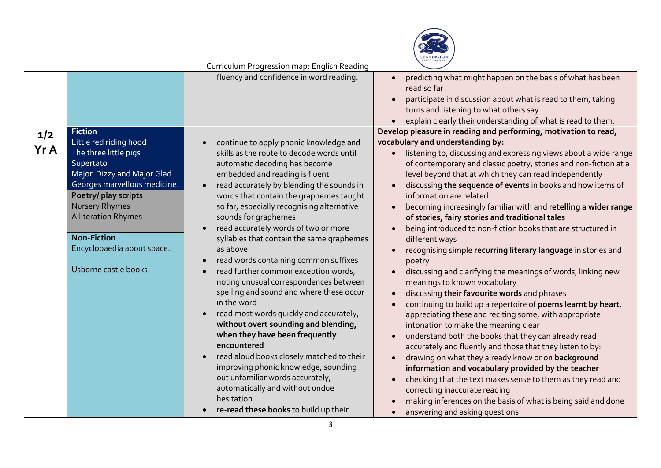

|             |                                                                                                                                                                                                                                                                                                         | Conncolom r Togression map. English Reading                                                                                                                                                                                                                                                                                                                                                                                                                                                                                                                                                                                                                                                                                                                                                                                                                                                                               |                                                                                                                                                                                                                                                                                                                                                                                                                                                                                                                                                                                                                                                                                                                                                                                                                                                                                                                                                                                                                                                                                                                                                                                                                                                                                                                                                                                                         |
|-------------|---------------------------------------------------------------------------------------------------------------------------------------------------------------------------------------------------------------------------------------------------------------------------------------------------------|---------------------------------------------------------------------------------------------------------------------------------------------------------------------------------------------------------------------------------------------------------------------------------------------------------------------------------------------------------------------------------------------------------------------------------------------------------------------------------------------------------------------------------------------------------------------------------------------------------------------------------------------------------------------------------------------------------------------------------------------------------------------------------------------------------------------------------------------------------------------------------------------------------------------------|---------------------------------------------------------------------------------------------------------------------------------------------------------------------------------------------------------------------------------------------------------------------------------------------------------------------------------------------------------------------------------------------------------------------------------------------------------------------------------------------------------------------------------------------------------------------------------------------------------------------------------------------------------------------------------------------------------------------------------------------------------------------------------------------------------------------------------------------------------------------------------------------------------------------------------------------------------------------------------------------------------------------------------------------------------------------------------------------------------------------------------------------------------------------------------------------------------------------------------------------------------------------------------------------------------------------------------------------------------------------------------------------------------|
|             |                                                                                                                                                                                                                                                                                                         | fluency and confidence in word reading.                                                                                                                                                                                                                                                                                                                                                                                                                                                                                                                                                                                                                                                                                                                                                                                                                                                                                   | predicting what might happen on the basis of what has been<br>read so far<br>participate in discussion about what is read to them, taking<br>turns and listening to what others say<br>explain clearly their understanding of what is read to them.                                                                                                                                                                                                                                                                                                                                                                                                                                                                                                                                                                                                                                                                                                                                                                                                                                                                                                                                                                                                                                                                                                                                                     |
| 1/2<br>Yr A | <b>Fiction</b><br>Little red riding hood<br>The three little pigs<br>Supertato<br>Major Dizzy and Major Glad<br>Georges marvellous medicine.<br>Poetry/ play scripts<br><b>Nursery Rhymes</b><br><b>Alliteration Rhymes</b><br><b>Non-Fiction</b><br>Encyclopaedia about space.<br>Usborne castle books | continue to apply phonic knowledge and<br>skills as the route to decode words until<br>automatic decoding has become<br>embedded and reading is fluent<br>read accurately by blending the sounds in<br>words that contain the graphemes taught<br>so far, especially recognising alternative<br>sounds for graphemes<br>read accurately words of two or more<br>syllables that contain the same graphemes<br>as above<br>read words containing common suffixes<br>read further common exception words,<br>noting unusual correspondences between<br>spelling and sound and where these occur<br>in the word<br>read most words quickly and accurately,<br>without overt sounding and blending,<br>when they have been frequently<br>encountered<br>read aloud books closely matched to their<br>improving phonic knowledge, sounding<br>out unfamiliar words accurately,<br>automatically and without undue<br>hesitation | Develop pleasure in reading and performing, motivation to read,<br>vocabulary and understanding by:<br>listening to, discussing and expressing views about a wide range<br>of contemporary and classic poetry, stories and non-fiction at a<br>level beyond that at which they can read independently<br>discussing the sequence of events in books and how items of<br>information are related<br>becoming increasingly familiar with and retelling a wider range<br>of stories, fairy stories and traditional tales<br>being introduced to non-fiction books that are structured in<br>different ways<br>recognising simple recurring literary language in stories and<br>poetry<br>discussing and clarifying the meanings of words, linking new<br>meanings to known vocabulary<br>discussing their favourite words and phrases<br>continuing to build up a repertoire of poems learnt by heart,<br>appreciating these and reciting some, with appropriate<br>intonation to make the meaning clear<br>understand both the books that they can already read<br>accurately and fluently and those that they listen to by:<br>drawing on what they already know or on background<br>information and vocabulary provided by the teacher<br>checking that the text makes sense to them as they read and<br>correcting inaccurate reading<br>making inferences on the basis of what is being said and done |
|             |                                                                                                                                                                                                                                                                                                         | re-read these books to build up their                                                                                                                                                                                                                                                                                                                                                                                                                                                                                                                                                                                                                                                                                                                                                                                                                                                                                     | answering and asking questions                                                                                                                                                                                                                                                                                                                                                                                                                                                                                                                                                                                                                                                                                                                                                                                                                                                                                                                                                                                                                                                                                                                                                                                                                                                                                                                                                                          |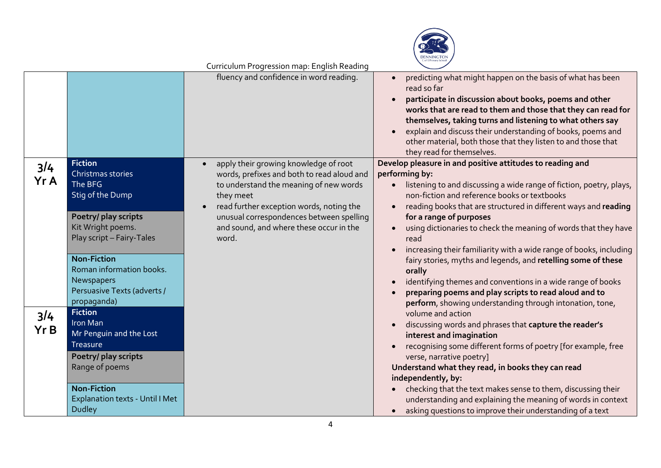

|      |                                        | fluency and confidence in word reading.             | predicting what might happen on the basis of what has been<br>read so far<br>participate in discussion about books, poems and other<br>works that are read to them and those that they can read for<br>themselves, taking turns and listening to what others say<br>explain and discuss their understanding of books, poems and<br>other material, both those that they listen to and those that<br>they read for themselves. |
|------|----------------------------------------|-----------------------------------------------------|-------------------------------------------------------------------------------------------------------------------------------------------------------------------------------------------------------------------------------------------------------------------------------------------------------------------------------------------------------------------------------------------------------------------------------|
| 3/4  | <b>Fiction</b>                         | apply their growing knowledge of root               | Develop pleasure in and positive attitudes to reading and                                                                                                                                                                                                                                                                                                                                                                     |
| Yr A | Christmas stories                      | words, prefixes and both to read aloud and          | performing by:                                                                                                                                                                                                                                                                                                                                                                                                                |
|      | The BFG<br><b>Stig of the Dump</b>     | to understand the meaning of new words<br>they meet | listening to and discussing a wide range of fiction, poetry, plays,<br>non-fiction and reference books or textbooks                                                                                                                                                                                                                                                                                                           |
|      |                                        | read further exception words, noting the            | reading books that are structured in different ways and reading                                                                                                                                                                                                                                                                                                                                                               |
|      | Poetry/ play scripts                   | unusual correspondences between spelling            | for a range of purposes                                                                                                                                                                                                                                                                                                                                                                                                       |
|      | Kit Wright poems.                      | and sound, and where these occur in the             | using dictionaries to check the meaning of words that they have                                                                                                                                                                                                                                                                                                                                                               |
|      | Play script - Fairy-Tales              | word.                                               | read                                                                                                                                                                                                                                                                                                                                                                                                                          |
|      |                                        |                                                     | increasing their familiarity with a wide range of books, including                                                                                                                                                                                                                                                                                                                                                            |
|      | <b>Non-Fiction</b>                     |                                                     | fairy stories, myths and legends, and retelling some of these                                                                                                                                                                                                                                                                                                                                                                 |
|      | Roman information books.               |                                                     | orally                                                                                                                                                                                                                                                                                                                                                                                                                        |
|      | Newspapers                             |                                                     | identifying themes and conventions in a wide range of books                                                                                                                                                                                                                                                                                                                                                                   |
|      | Persuasive Texts (adverts /            |                                                     | preparing poems and play scripts to read aloud and to                                                                                                                                                                                                                                                                                                                                                                         |
|      | propaganda)                            |                                                     | perform, showing understanding through intonation, tone,                                                                                                                                                                                                                                                                                                                                                                      |
| 3/4  | <b>Fiction</b>                         |                                                     | volume and action                                                                                                                                                                                                                                                                                                                                                                                                             |
| Yr B | Iron Man                               |                                                     | discussing words and phrases that capture the reader's                                                                                                                                                                                                                                                                                                                                                                        |
|      | Mr Penguin and the Lost                |                                                     | interest and imagination                                                                                                                                                                                                                                                                                                                                                                                                      |
|      | <b>Treasure</b>                        |                                                     | recognising some different forms of poetry [for example, free                                                                                                                                                                                                                                                                                                                                                                 |
|      | Poetry/ play scripts                   |                                                     | verse, narrative poetry]                                                                                                                                                                                                                                                                                                                                                                                                      |
|      | Range of poems                         |                                                     | Understand what they read, in books they can read                                                                                                                                                                                                                                                                                                                                                                             |
|      | <b>Non-Fiction</b>                     |                                                     | independently, by:                                                                                                                                                                                                                                                                                                                                                                                                            |
|      | <b>Explanation texts - Until I Met</b> |                                                     | checking that the text makes sense to them, discussing their<br>understanding and explaining the meaning of words in context                                                                                                                                                                                                                                                                                                  |
|      | <b>Dudley</b>                          |                                                     | asking questions to improve their understanding of a text                                                                                                                                                                                                                                                                                                                                                                     |
|      |                                        |                                                     |                                                                                                                                                                                                                                                                                                                                                                                                                               |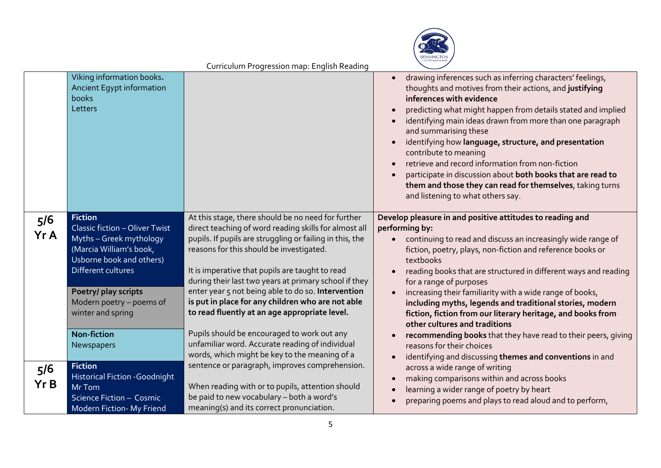

|             |                                                                                                                                                                                                                                                                              | on redionnel rogression map. English reading                                                                                                                                                                                                                                                                                                                                                                                                                                                                                                                                                                                                   |                                                                                                                                                                                                                                                                                                                                                                                                                                                                                                                                                                                                                                                                                                        |
|-------------|------------------------------------------------------------------------------------------------------------------------------------------------------------------------------------------------------------------------------------------------------------------------------|------------------------------------------------------------------------------------------------------------------------------------------------------------------------------------------------------------------------------------------------------------------------------------------------------------------------------------------------------------------------------------------------------------------------------------------------------------------------------------------------------------------------------------------------------------------------------------------------------------------------------------------------|--------------------------------------------------------------------------------------------------------------------------------------------------------------------------------------------------------------------------------------------------------------------------------------------------------------------------------------------------------------------------------------------------------------------------------------------------------------------------------------------------------------------------------------------------------------------------------------------------------------------------------------------------------------------------------------------------------|
|             | Viking information books.<br>Ancient Egypt information<br>books<br>Letters                                                                                                                                                                                                   |                                                                                                                                                                                                                                                                                                                                                                                                                                                                                                                                                                                                                                                | drawing inferences such as inferring characters' feelings,<br>thoughts and motives from their actions, and justifying<br>inferences with evidence<br>predicting what might happen from details stated and implied<br>identifying main ideas drawn from more than one paragraph<br>and summarising these<br>identifying how language, structure, and presentation<br>contribute to meaning<br>retrieve and record information from non-fiction<br>participate in discussion about both books that are read to<br>them and those they can read for themselves, taking turns<br>and listening to what others say.                                                                                         |
| 5/6<br>Yr A | <b>Fiction</b><br><b>Classic fiction - Oliver Twist</b><br>Myths - Greek mythology<br>(Marcia William's book,<br>Usborne book and others)<br>Different cultures<br>Poetry/ play scripts<br>Modern poetry - poems of<br>winter and spring<br><b>Non-fiction</b><br>Newspapers | At this stage, there should be no need for further<br>direct teaching of word reading skills for almost all<br>pupils. If pupils are struggling or failing in this, the<br>reasons for this should be investigated.<br>It is imperative that pupils are taught to read<br>during their last two years at primary school if they<br>enter year 5 not being able to do so. Intervention<br>is put in place for any children who are not able<br>to read fluently at an age appropriate level.<br>Pupils should be encouraged to work out any<br>unfamiliar word. Accurate reading of individual<br>words, which might be key to the meaning of a | Develop pleasure in and positive attitudes to reading and<br>performing by:<br>continuing to read and discuss an increasingly wide range of<br>fiction, poetry, plays, non-fiction and reference books or<br>textbooks<br>reading books that are structured in different ways and reading<br>for a range of purposes<br>increasing their familiarity with a wide range of books,<br>including myths, legends and traditional stories, modern<br>fiction, fiction from our literary heritage, and books from<br>other cultures and traditions<br>recommending books that they have read to their peers, giving<br>reasons for their choices<br>identifying and discussing themes and conventions in and |
| 5/6<br>Yr B | <b>Fiction</b><br>Historical Fiction - Goodnight<br>Mr Tom<br>Science Fiction - Cosmic<br><b>Modern Fiction- My Friend</b>                                                                                                                                                   | sentence or paragraph, improves comprehension.<br>When reading with or to pupils, attention should<br>be paid to new vocabulary - both a word's<br>meaning(s) and its correct pronunciation.                                                                                                                                                                                                                                                                                                                                                                                                                                                   | across a wide range of writing<br>making comparisons within and across books<br>learning a wider range of poetry by heart<br>preparing poems and plays to read aloud and to perform,                                                                                                                                                                                                                                                                                                                                                                                                                                                                                                                   |